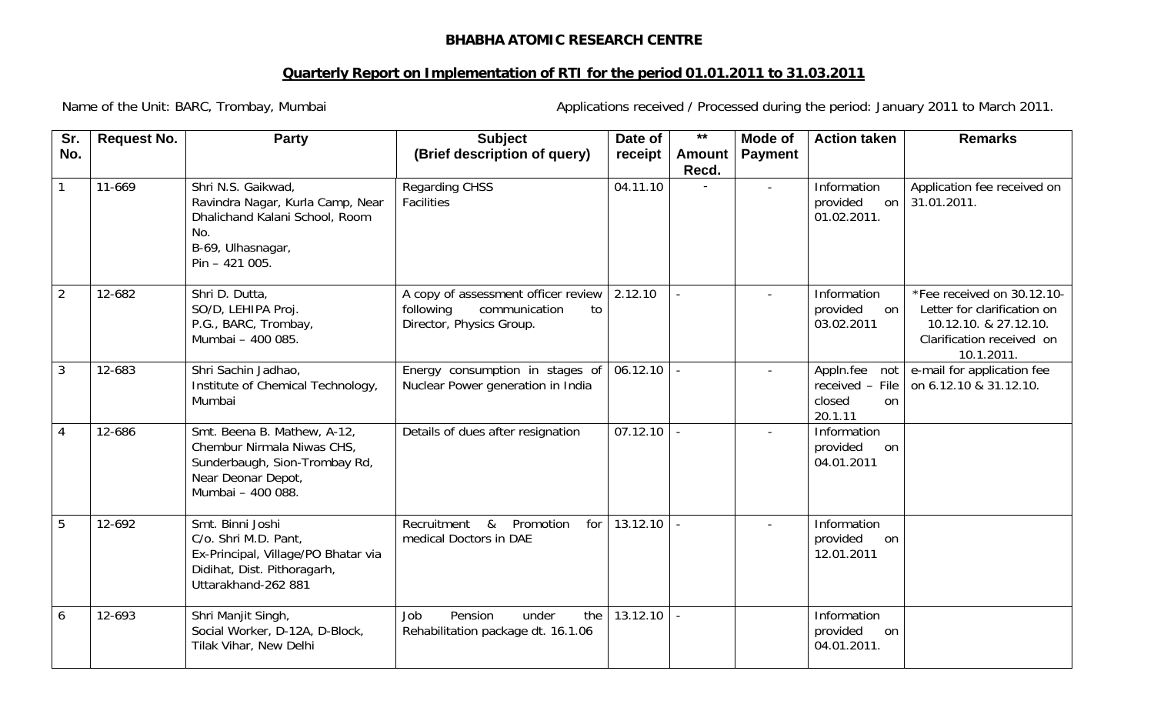## **BHABHA ATOMIC RESEARCH CENTRE**

## **Quarterly Report on Implementation of RTI for the period 01.01.2011 to 31.03.2011**

Name of the Unit: BARC, Trombay, Mumbai **Applications received / Processed during** the period: January 2011 to March 2011.

| Sr.            | <b>Request No.</b> | Party                                                                                                                                 | <b>Subject</b>                                                                                      | Date of  | $***$  | <b>Mode of</b> | <b>Action taken</b>                                                       | <b>Remarks</b>                                                                                                                |
|----------------|--------------------|---------------------------------------------------------------------------------------------------------------------------------------|-----------------------------------------------------------------------------------------------------|----------|--------|----------------|---------------------------------------------------------------------------|-------------------------------------------------------------------------------------------------------------------------------|
| No.            |                    |                                                                                                                                       | (Brief description of query)                                                                        | receipt  | Amount | <b>Payment</b> |                                                                           |                                                                                                                               |
|                | 11-669             | Shri N.S. Gaikwad,<br>Ravindra Nagar, Kurla Camp, Near<br>Dhalichand Kalani School, Room                                              | <b>Regarding CHSS</b><br><b>Facilities</b>                                                          | 04.11.10 | Recd.  | $\blacksquare$ | Information<br>provided<br>on<br>01.02.2011.                              | Application fee received on<br>31.01.2011.                                                                                    |
|                |                    | No.<br>B-69, Ulhasnagar,<br>Pin - 421 005.                                                                                            |                                                                                                     |          |        |                |                                                                           |                                                                                                                               |
| $\overline{2}$ | 12-682             | Shri D. Dutta,<br>SO/D, LEHIPA Proj.<br>P.G., BARC, Trombay,<br>Mumbai - 400 085.                                                     | A copy of assessment officer review<br>following<br>communication<br>to<br>Director, Physics Group. | 2.12.10  |        |                | Information<br>provided<br>on<br>03.02.2011                               | *Fee received on 30.12.10-<br>Letter for clarification on<br>10.12.10. & 27.12.10.<br>Clarification received on<br>10.1.2011. |
| $\mathbf{3}$   | 12-683             | Shri Sachin Jadhao,<br>Institute of Chemical Technology,<br>Mumbai                                                                    | Energy consumption in stages of<br>Nuclear Power generation in India                                | 06.12.10 |        | $\mathbf{r}$   | Appln.fee<br>not<br>received - File<br>closed<br><sub>on</sub><br>20.1.11 | e-mail for application fee<br>on 6.12.10 & 31.12.10.                                                                          |
| 4              | 12-686             | Smt. Beena B. Mathew, A-12,<br>Chembur Nirmala Niwas CHS,<br>Sunderbaugh, Sion-Trombay Rd,<br>Near Deonar Depot,<br>Mumbai - 400 088. | Details of dues after resignation                                                                   | 07.12.10 |        | $\blacksquare$ | Information<br>provided<br>on<br>04.01.2011                               |                                                                                                                               |
| 5              | 12-692             | Smt. Binni Joshi<br>C/o. Shri M.D. Pant,<br>Ex-Principal, Village/PO Bhatar via<br>Didihat, Dist. Pithoragarh,<br>Uttarakhand-262 881 | Promotion<br>for<br>Recruitment<br>&<br>medical Doctors in DAE                                      | 13.12.10 |        |                | Information<br>provided<br>on<br>12.01.2011                               |                                                                                                                               |
| 6              | 12-693             | Shri Manjit Singh,<br>Social Worker, D-12A, D-Block,<br>Tilak Vihar, New Delhi                                                        | Pension<br>under<br>the<br>Job<br>Rehabilitation package dt. 16.1.06                                | 13.12.10 |        |                | Information<br>provided<br>on<br>04.01.2011.                              |                                                                                                                               |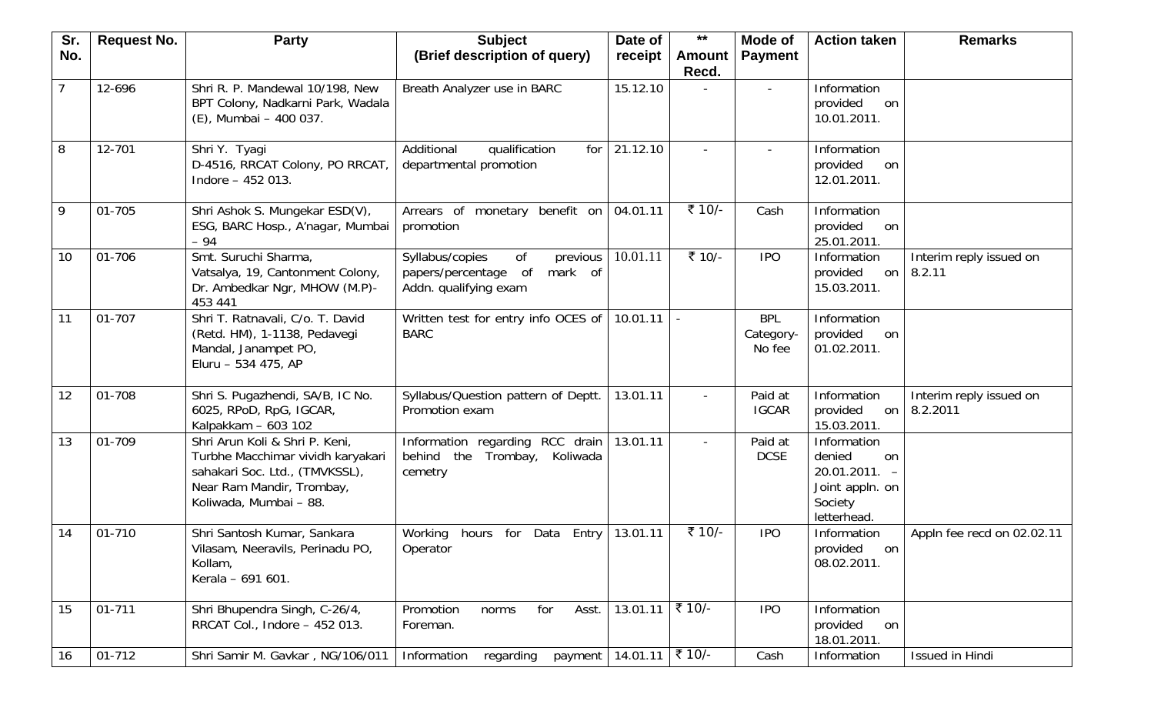| Sr. | <b>Request No.</b> | <b>Party</b>                                                                                                                                                 | <b>Subject</b>                                                                                | Date of             | $***$                  | Mode of                           | <b>Action taken</b>                                                                         | <b>Remarks</b>                            |
|-----|--------------------|--------------------------------------------------------------------------------------------------------------------------------------------------------------|-----------------------------------------------------------------------------------------------|---------------------|------------------------|-----------------------------------|---------------------------------------------------------------------------------------------|-------------------------------------------|
| No. |                    |                                                                                                                                                              | (Brief description of query)                                                                  | receipt             | <b>Amount</b><br>Recd. | <b>Payment</b>                    |                                                                                             |                                           |
| 7   | 12-696             | Shri R. P. Mandewal 10/198, New<br>BPT Colony, Nadkarni Park, Wadala<br>(E), Mumbai - 400 037.                                                               | Breath Analyzer use in BARC                                                                   | 15.12.10            |                        | $\overline{\phantom{a}}$          | Information<br>provided<br>on<br>10.01.2011.                                                |                                           |
| 8   | 12-701             | Shri Y. Tyagi<br>D-4516, RRCAT Colony, PO RRCAT,<br>Indore $-452013$ .                                                                                       | Additional<br>qualification<br>for<br>departmental promotion                                  | 21.12.10            |                        |                                   | Information<br>provided<br>on<br>12.01.2011.                                                |                                           |
| 9   | 01-705             | Shri Ashok S. Mungekar ESD(V),<br>ESG, BARC Hosp., A'nagar, Mumbai<br>$-94$                                                                                  | Arrears of monetary benefit on<br>promotion                                                   | 04.01.11            | ₹ 10/-                 | Cash                              | Information<br>provided<br>on<br>25.01.2011.                                                |                                           |
| 10  | 01-706             | Smt. Suruchi Sharma,<br>Vatsalya, 19, Cantonment Colony,<br>Dr. Ambedkar Ngr, MHOW (M.P)-<br>453 441                                                         | Syllabus/copies<br>0f<br>previous<br>mark of<br>papers/percentage of<br>Addn. qualifying exam | 10.01.11            | ₹ 10/-                 | <b>IPO</b>                        | Information<br>provided<br>on<br>15.03.2011.                                                | Interim reply issued on<br>8.2.11         |
| 11  | 01-707             | Shri T. Ratnavali, C/o. T. David<br>(Retd. HM), 1-1138, Pedavegi<br>Mandal, Janampet PO,<br>Eluru - 534 475, AP                                              | Written test for entry info OCES of<br><b>BARC</b>                                            | 10.01.11            |                        | <b>BPL</b><br>Category-<br>No fee | Information<br>provided<br>on<br>01.02.2011.                                                |                                           |
| 12  | 01-708             | Shri S. Pugazhendi, SA/B, IC No.<br>6025, RPoD, RpG, IGCAR,<br>Kalpakkam - 603 102                                                                           | Syllabus/Question pattern of Deptt.<br>Promotion exam                                         | 13.01.11            |                        | Paid at<br><b>IGCAR</b>           | Information<br>provided<br>15.03.2011.                                                      | Interim reply issued on<br>on $ 8.2.2011$ |
| 13  | 01-709             | Shri Arun Koli & Shri P. Keni,<br>Turbhe Macchimar vividh karyakari<br>sahakari Soc. Ltd., (TMVKSSL),<br>Near Ram Mandir, Trombay,<br>Koliwada, Mumbai - 88. | Information regarding RCC drain<br>the<br>behind<br>Trombay,<br>Koliwada<br>cemetry           | 13.01.11            | $\blacksquare$         | Paid at<br><b>DCSE</b>            | Information<br>denied<br>on<br>$20.01.2011. -$<br>Joint appln. on<br>Society<br>letterhead. |                                           |
| 14  | 01-710             | Shri Santosh Kumar, Sankara<br>Vilasam, Neeravils, Perinadu PO,<br>Kollam,<br>Kerala - 691 601.                                                              | Working hours for Data Entry<br>Operator                                                      | 13.01.11            | ₹ 10/-                 | <b>IPO</b>                        | Information<br>provided<br>on<br>08.02.2011.                                                | Appln fee recd on 02.02.11                |
| 15  | $01 - 711$         | Shri Bhupendra Singh, C-26/4,<br>RRCAT Col., Indore - 452 013.                                                                                               | for<br>Promotion<br>Asst.<br>norms<br>Foreman.                                                | 13.01.11            | ₹ 10/-                 | <b>IPO</b>                        | Information<br>provided<br>on<br>18.01.2011.                                                |                                           |
| 16  | 01-712             | Shri Samir M. Gavkar, NG/106/011                                                                                                                             | Information<br>regarding<br>payment                                                           | $14.01.11$ ₹ $10/-$ |                        | Cash                              | Information                                                                                 | Issued in Hindi                           |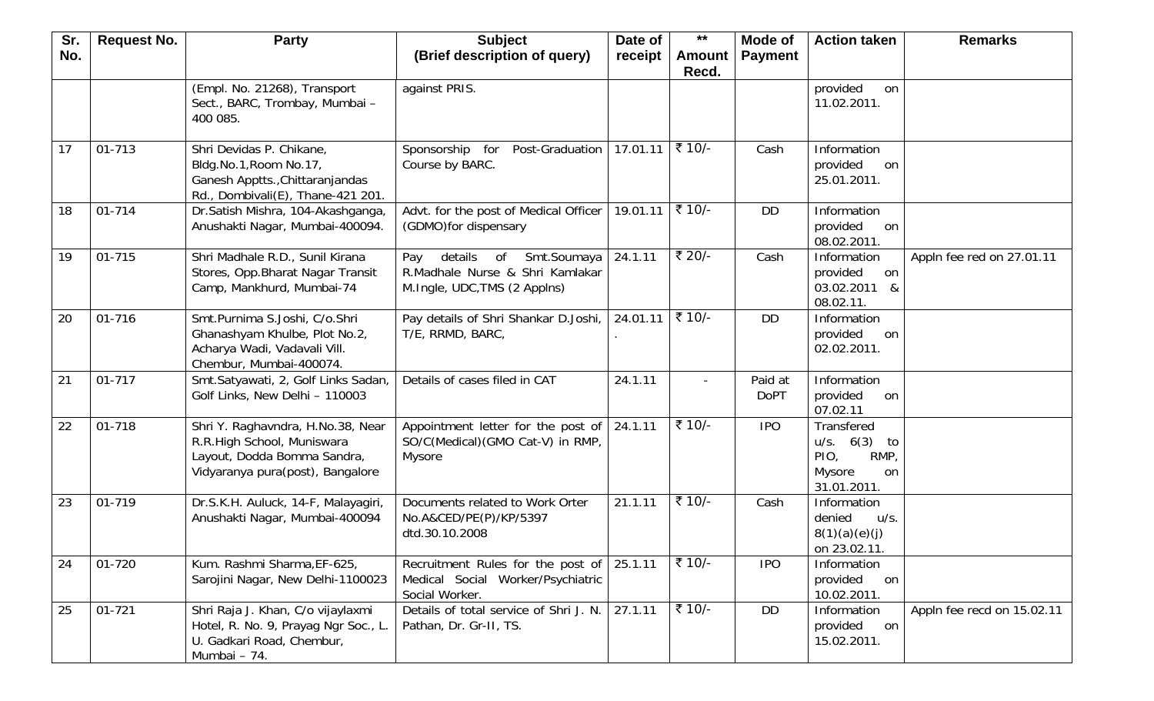| Sr. | <b>Request No.</b> | <b>Party</b>                                                                                                                       | <b>Subject</b>                                                                                         | Date of  | $***$                  | Mode of                | <b>Action taken</b>                                                          | <b>Remarks</b>             |
|-----|--------------------|------------------------------------------------------------------------------------------------------------------------------------|--------------------------------------------------------------------------------------------------------|----------|------------------------|------------------------|------------------------------------------------------------------------------|----------------------------|
| No. |                    |                                                                                                                                    | (Brief description of query)                                                                           | receipt  | <b>Amount</b><br>Recd. | <b>Payment</b>         |                                                                              |                            |
|     |                    | (Empl. No. 21268), Transport<br>Sect., BARC, Trombay, Mumbai -<br>400 085.                                                         | against PRIS.                                                                                          |          |                        |                        | provided<br>on<br>11.02.2011.                                                |                            |
| 17  | 01-713             | Shri Devidas P. Chikane,<br>Bldg.No.1, Room No.17,<br>Ganesh Apptts., Chittaranjandas<br>Rd., Dombivali(E), Thane-421 201.         | Post-Graduation<br>Sponsorship for<br>Course by BARC.                                                  | 17.01.11 | ₹ 10/-                 | Cash                   | Information<br>provided<br>on<br>25.01.2011.                                 |                            |
| 18  | 01-714             | Dr.Satish Mishra, 104-Akashganga,<br>Anushakti Nagar, Mumbai-400094.                                                               | Advt. for the post of Medical Officer<br>(GDMO) for dispensary                                         | 19.01.11 | ₹ 10/-                 | <b>DD</b>              | Information<br>provided<br>on<br>08.02.2011.                                 |                            |
| 19  | 01-715             | Shri Madhale R.D., Sunil Kirana<br>Stores, Opp. Bharat Nagar Transit<br>Camp, Mankhurd, Mumbai-74                                  | details<br>Smt.Soumaya<br>of<br>Pay<br>R.Madhale Nurse & Shri Kamlakar<br>M.Ingle, UDC, TMS (2 Applns) | 24.1.11  | ₹ 20/-                 | Cash                   | Information<br>provided<br>on<br>03.02.2011<br>୍ଷ<br>08.02.11.               | Appln fee red on 27.01.11  |
| 20  | 01-716             | Smt.Purnima S.Joshi, C/o.Shri<br>Ghanashyam Khulbe, Plot No.2,<br>Acharya Wadi, Vadavali Vill.<br>Chembur, Mumbai-400074.          | Pay details of Shri Shankar D.Joshi,<br>T/E, RRMD, BARC,                                               | 24.01.11 | ₹ 10/-                 | <b>DD</b>              | Information<br>provided<br>on<br>02.02.2011.                                 |                            |
| 21  | 01-717             | Smt.Satyawati, 2, Golf Links Sadan,<br>Golf Links, New Delhi - 110003                                                              | Details of cases filed in CAT                                                                          | 24.1.11  |                        | Paid at<br><b>DoPT</b> | Information<br>provided<br>on<br>07.02.11                                    |                            |
| 22  | 01-718             | Shri Y. Raghavndra, H.No.38, Near<br>R.R.High School, Muniswara<br>Layout, Dodda Bomma Sandra,<br>Vidyaranya pura(post), Bangalore | Appointment letter for the post of<br>SO/C(Medical)(GMO Cat-V) in RMP,<br>Mysore                       | 24.1.11  | ₹ 10/-                 | <b>IPO</b>             | Transfered<br>u/s. 6(3)<br>to<br>RMP,<br>PIO,<br>Mysore<br>on<br>31.01.2011. |                            |
| 23  | 01-719             | Dr.S.K.H. Auluck, 14-F, Malayagiri,<br>Anushakti Nagar, Mumbai-400094                                                              | Documents related to Work Orter<br>No.A&CED/PE(P)/KP/5397<br>dtd.30.10.2008                            | 21.1.11  | ₹ 10/-                 | Cash                   | Information<br>denied<br>u/s.<br>8(1)(a)(e)(j)<br>on 23.02.11                |                            |
| 24  | 01-720             | Kum. Rashmi Sharma, EF-625,<br>Sarojini Nagar, New Delhi-1100023                                                                   | Recruitment Rules for the post of<br>Medical Social Worker/Psychiatric<br>Social Worker.               | 25.1.11  | ₹ $10/-$               | <b>IPO</b>             | Information<br>provided<br>on<br>10.02.2011.                                 |                            |
| 25  | $01 - 721$         | Shri Raja J. Khan, C/o vijaylaxmi<br>Hotel, R. No. 9, Prayag Ngr Soc., L.<br>U. Gadkari Road, Chembur,<br>Mumbai - 74.             | Details of total service of Shri J. N.<br>Pathan, Dr. Gr-II, TS.                                       | 27.1.11  | ₹ 10/-                 | <b>DD</b>              | Information<br>provided<br>on<br>15.02.2011.                                 | Appln fee recd on 15.02.11 |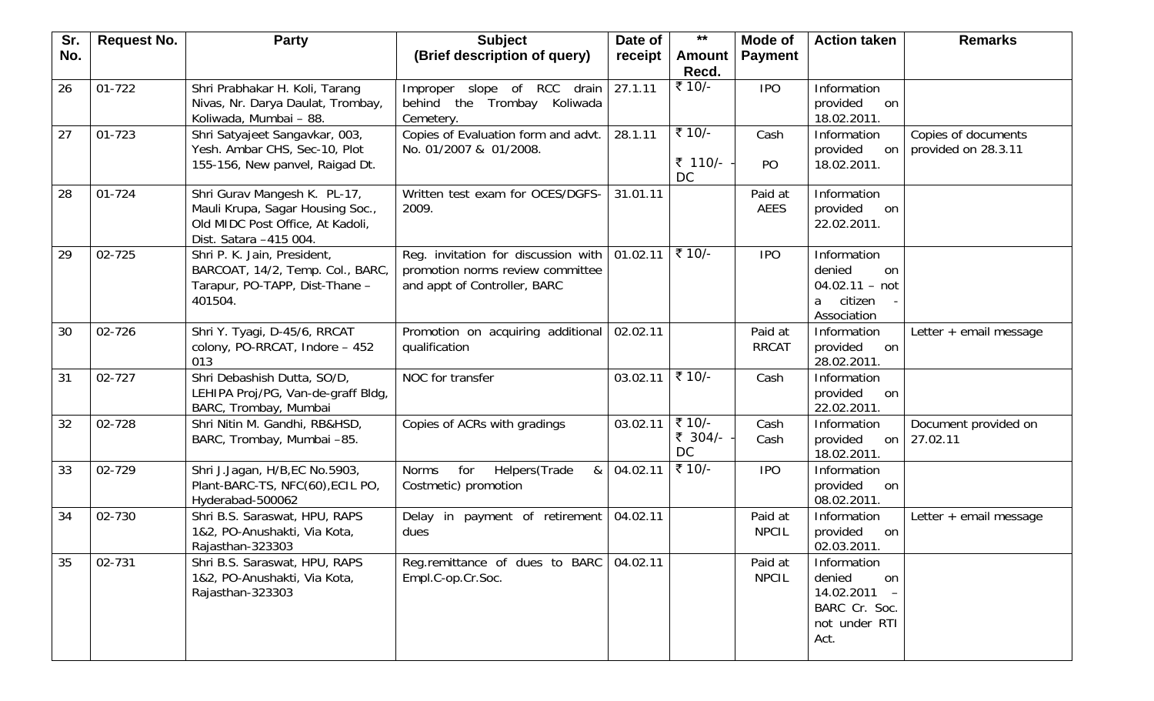| Sr. | <b>Request No.</b> | <b>Party</b>                       | <b>Subject</b>                                       | Date of  | $***$                | Mode of        | <b>Action taken</b>     | <b>Remarks</b>                      |
|-----|--------------------|------------------------------------|------------------------------------------------------|----------|----------------------|----------------|-------------------------|-------------------------------------|
| No. |                    |                                    | (Brief description of query)                         | receipt  | Amount               | <b>Payment</b> |                         |                                     |
|     |                    |                                    |                                                      |          | Recd.                |                |                         |                                     |
| 26  | 01-722             | Shri Prabhakar H. Koli, Tarang     | Improper slope of RCC<br>drain                       | 27.1.11  | ₹ 10/-               | <b>IPO</b>     | Information             |                                     |
|     |                    | Nivas, Nr. Darya Daulat, Trombay,  | behind the Trombay Koliwada                          |          |                      |                | provided<br>on          |                                     |
|     |                    | Koliwada, Mumbai - 88.             | Cemetery.                                            |          |                      |                | 18.02.2011.             |                                     |
| 27  | 01-723             | Shri Satyajeet Sangavkar, 003,     | Copies of Evaluation form and advt.                  | 28.1.11  | ₹ 10/-               | Cash           | Information             | Copies of documents                 |
|     |                    | Yesh. Ambar CHS, Sec-10, Plot      | No. 01/2007 & 01/2008.                               |          |                      |                | provided<br>on          | provided on 28.3.11                 |
|     |                    | 155-156, New panvel, Raigad Dt.    |                                                      |          | ₹ 110/-<br><b>DC</b> | PO             | 18.02.2011.             |                                     |
| 28  | $01 - 724$         | Shri Gurav Mangesh K. PL-17,       | Written test exam for OCES/DGFS-                     | 31.01.11 |                      | Paid at        | Information             |                                     |
|     |                    | Mauli Krupa, Sagar Housing Soc.,   | 2009.                                                |          |                      | <b>AEES</b>    | provided<br>on          |                                     |
|     |                    | Old MIDC Post Office, At Kadoli,   |                                                      |          |                      |                | 22.02.2011.             |                                     |
|     |                    | Dist. Satara -415 004.             |                                                      |          |                      |                |                         |                                     |
| 29  | 02-725             | Shri P. K. Jain, President,        | Reg. invitation for discussion with $\vert$ 01.02.11 |          | ₹ 10/-               | <b>IPO</b>     | Information             |                                     |
|     |                    | BARCOAT, 14/2, Temp. Col., BARC,   | promotion norms review committee                     |          |                      |                | denied<br><sub>on</sub> |                                     |
|     |                    | Tarapur, PO-TAPP, Dist-Thane -     | and appt of Controller, BARC                         |          |                      |                | $04.02.11 - not$        |                                     |
|     |                    | 401504.                            |                                                      |          |                      |                | citizen<br>a            |                                     |
|     |                    |                                    |                                                      |          |                      |                | Association             |                                     |
| 30  | 02-726             | Shri Y. Tyagi, D-45/6, RRCAT       | Promotion on acquiring additional                    | 02.02.11 |                      | Paid at        | Information             | Letter + email message              |
|     |                    | colony, PO-RRCAT, Indore - 452     | qualification                                        |          |                      | <b>RRCAT</b>   | provided<br>on          |                                     |
|     |                    | 013                                |                                                      |          |                      |                | 28.02.2011.             |                                     |
| 31  | 02-727             | Shri Debashish Dutta, SO/D,        | NOC for transfer                                     | 03.02.11 | ₹ 10/-               | Cash           | Information             |                                     |
|     |                    | LEHIPA Proj/PG, Van-de-graff Bldg, |                                                      |          |                      |                | provided<br>on          |                                     |
|     |                    | BARC, Trombay, Mumbai              |                                                      |          | ₹ 10/-               |                | 22.02.2011.             |                                     |
| 32  | 02-728             | Shri Nitin M. Gandhi, RB&HSD,      | Copies of ACRs with gradings                         | 03.02.11 | ₹ 304/-              | Cash           | Information<br>provided | Document provided on<br>on 27.02.11 |
|     |                    | BARC, Trombay, Mumbai -85.         |                                                      |          | <b>DC</b>            | Cash           | 18.02.2011.             |                                     |
| 33  | 02-729             | Shri J.Jagan, H/B, EC No.5903,     | for<br>Helpers(Trade<br>&<br>Norms                   | 04.02.11 | ₹ 10/-               | <b>IPO</b>     | Information             |                                     |
|     |                    | Plant-BARC-TS, NFC(60), ECIL PO,   | Costmetic) promotion                                 |          |                      |                | provided<br>on          |                                     |
|     |                    | Hyderabad-500062                   |                                                      |          |                      |                | 08.02.2011.             |                                     |
| 34  | 02-730             | Shri B.S. Saraswat, HPU, RAPS      | Delay in payment of retirement                       | 04.02.11 |                      | Paid at        | Information             | Letter + email message              |
|     |                    | 1&2, PO-Anushakti, Via Kota,       | dues                                                 |          |                      | <b>NPCIL</b>   | provided<br>on          |                                     |
|     |                    | Rajasthan-323303                   |                                                      |          |                      |                | 02.03.2011.             |                                     |
| 35  | 02-731             | Shri B.S. Saraswat, HPU, RAPS      | Reg.remittance of dues to BARC                       | 04.02.11 |                      | Paid at        | Information             |                                     |
|     |                    | 1&2, PO-Anushakti, Via Kota,       | Empl.C-op.Cr.Soc.                                    |          |                      | <b>NPCIL</b>   | denied<br>on            |                                     |
|     |                    | Rajasthan-323303                   |                                                      |          |                      |                | 14.02.2011              |                                     |
|     |                    |                                    |                                                      |          |                      |                | BARC Cr. Soc.           |                                     |
|     |                    |                                    |                                                      |          |                      |                | not under RTI           |                                     |
|     |                    |                                    |                                                      |          |                      |                | Act.                    |                                     |
|     |                    |                                    |                                                      |          |                      |                |                         |                                     |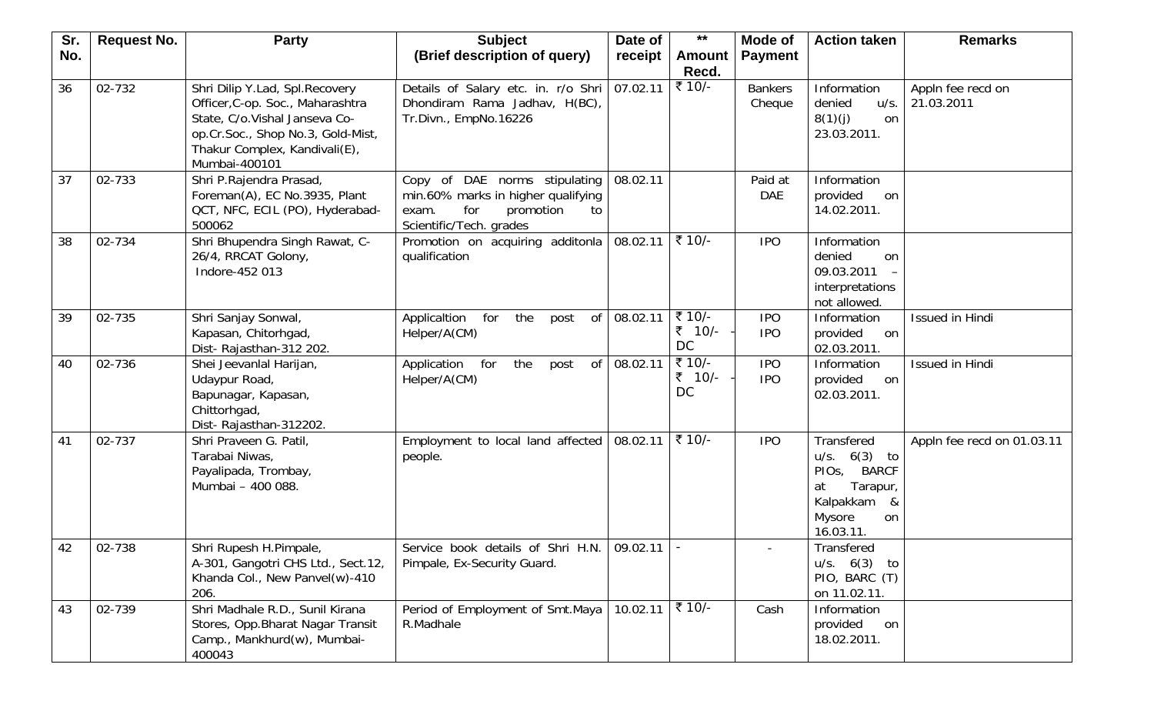| Sr. | <b>Request No.</b> | <b>Party</b>                                                                                                                                                                               | <b>Subject</b>                                                                                                                    | Date of  | $***$                         | Mode of                  | <b>Action taken</b>                                                                                                                  | <b>Remarks</b>                  |
|-----|--------------------|--------------------------------------------------------------------------------------------------------------------------------------------------------------------------------------------|-----------------------------------------------------------------------------------------------------------------------------------|----------|-------------------------------|--------------------------|--------------------------------------------------------------------------------------------------------------------------------------|---------------------------------|
| No. |                    |                                                                                                                                                                                            | (Brief description of query)                                                                                                      | receipt  | <b>Amount</b><br>Recd.        | <b>Payment</b>           |                                                                                                                                      |                                 |
| 36  | 02-732             | Shri Dilip Y.Lad, Spl.Recovery<br>Officer, C-op. Soc., Maharashtra<br>State, C/o.Vishal Janseva Co-<br>op.Cr.Soc., Shop No.3, Gold-Mist,<br>Thakur Complex, Kandivali(E),<br>Mumbai-400101 | Details of Salary etc. in. r/o Shri<br>Dhondiram Rama Jadhav, H(BC),<br>Tr.Divn., EmpNo.16226                                     | 07.02.11 | ₹ 10/-                        | <b>Bankers</b><br>Cheque | Information<br>denied<br>u/s.<br>8(1)(j)<br><b>on</b><br>23.03.2011.                                                                 | Appln fee recd on<br>21.03.2011 |
| 37  | 02-733             | Shri P.Rajendra Prasad,<br>Foreman(A), EC No.3935, Plant<br>QCT, NFC, ECIL (PO), Hyderabad-<br>500062                                                                                      | Copy of DAE norms stipulating<br>min.60% marks in higher qualifying<br>for<br>promotion<br>exam.<br>to<br>Scientific/Tech. grades | 08.02.11 |                               | Paid at<br><b>DAE</b>    | Information<br>provided<br>on<br>14.02.2011.                                                                                         |                                 |
| 38  | 02-734             | Shri Bhupendra Singh Rawat, C-<br>26/4, RRCAT Golony,<br>Indore-452 013                                                                                                                    | Promotion on acquiring additonla<br>qualification                                                                                 | 08.02.11 | ₹ 10/-                        | <b>IPO</b>               | Information<br>denied<br>on<br>09.03.2011<br>interpretations<br>not allowed.                                                         |                                 |
| 39  | 02-735             | Shri Sanjay Sonwal,<br>Kapasan, Chitorhgad,<br>Dist-Rajasthan-312 202.                                                                                                                     | of<br>Applicaltion<br>for<br>the<br>post<br>Helper/A(CM)                                                                          | 08.02.11 | ₹ 10/-<br>₹ 10/-<br><b>DC</b> | <b>IPO</b><br><b>IPO</b> | Information<br>provided<br>on<br>02.03.2011.                                                                                         | Issued in Hindi                 |
| 40  | 02-736             | Shei Jeevanlal Harijan,<br>Udaypur Road,<br>Bapunagar, Kapasan,<br>Chittorhgad,<br>Dist-Rajasthan-312202.                                                                                  | Application for<br>the<br>of<br>post<br>Helper/A(CM)                                                                              | 08.02.11 | ₹ 10/-<br>₹ 10/-<br>DC        | <b>IPO</b><br><b>IPO</b> | Information<br>provided<br>on<br>02.03.2011.                                                                                         | Issued in Hindi                 |
| 41  | 02-737             | Shri Praveen G. Patil,<br>Tarabai Niwas,<br>Payalipada, Trombay,<br>Mumbai - 400 088.                                                                                                      | Employment to local land affected<br>people.                                                                                      | 08.02.11 | ₹ 10/-                        | <b>IPO</b>               | Transfered<br>$6(3)$ to<br>u/s.<br><b>BARCF</b><br>PIO <sub>s</sub><br>Tarapur,<br>at<br>Kalpakkam<br>&<br>Mysore<br>on<br>16.03.11. | Appln fee recd on 01.03.11      |
| 42  | 02-738             | Shri Rupesh H.Pimpale,<br>A-301, Gangotri CHS Ltd., Sect.12,<br>Khanda Col., New Panvel(w)-410<br>206.                                                                                     | Service book details of Shri H.N.   09.02.11  <br>Pimpale, Ex-Security Guard.                                                     |          |                               |                          | <b>Transfered</b><br>u/s. 6(3)<br>to<br>PIO, BARC (T)<br>on 11.02.11.                                                                |                                 |
| 43  | 02-739             | Shri Madhale R.D., Sunil Kirana<br>Stores, Opp. Bharat Nagar Transit<br>Camp., Mankhurd(w), Mumbai-<br>400043                                                                              | Period of Employment of Smt.Maya<br>R.Madhale                                                                                     | 10.02.11 | ₹ 10/-                        | Cash                     | Information<br>provided<br>on<br>18.02.2011.                                                                                         |                                 |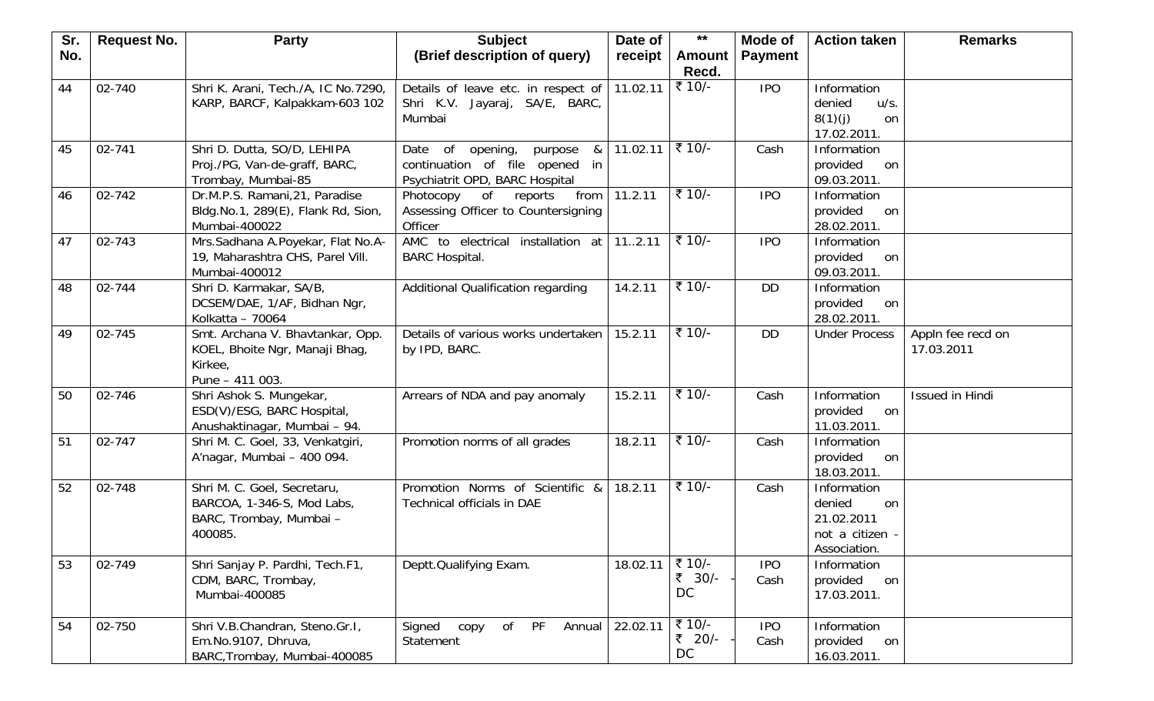| Sr. | <b>Request No.</b> | <b>Party</b>                                                                                     | <b>Subject</b>                                                                                             | Date of  | $***$                         | Mode of            | <b>Action taken</b>                                                          | <b>Remarks</b>                  |
|-----|--------------------|--------------------------------------------------------------------------------------------------|------------------------------------------------------------------------------------------------------------|----------|-------------------------------|--------------------|------------------------------------------------------------------------------|---------------------------------|
| No. |                    |                                                                                                  | (Brief description of query)                                                                               | receipt  | <b>Amount</b><br>Recd.        | <b>Payment</b>     |                                                                              |                                 |
| 44  | 02-740             | Shri K. Arani, Tech./A, IC No.7290,<br>KARP, BARCF, Kalpakkam-603 102                            | Details of leave etc. in respect of<br>Shri K.V. Jayaraj, SA/E, BARC,<br>Mumbai                            | 11.02.11 | ₹ 10/-                        | <b>IPO</b>         | Information<br>denied<br>u/s.<br>8(1)(j)<br>on<br>17.02.2011.                |                                 |
| 45  | 02-741             | Shri D. Dutta, SO/D, LEHIPA<br>Proj./PG, Van-de-graff, BARC,<br>Trombay, Mumbai-85               | Date of<br>opening,<br>purpose<br>&<br>continuation of file opened<br>in<br>Psychiatrit OPD, BARC Hospital | 11.02.11 | ₹ 10/-                        | Cash               | Information<br>provided<br>on<br>09.03.2011.                                 |                                 |
| 46  | 02-742             | Dr.M.P.S. Ramani, 21, Paradise<br>Bldg.No.1, 289(E), Flank Rd, Sion,<br>Mumbai-400022            | Photocopy<br>of<br>reports<br>from<br>Assessing Officer to Countersigning<br>Officer                       | 11.2.11  | ₹ 10/-                        | <b>IPO</b>         | Information<br>provided<br>on<br>28.02.2011.                                 |                                 |
| 47  | 02-743             | Mrs.Sadhana A.Poyekar, Flat No.A-<br>19, Maharashtra CHS, Parel Vill.<br>Mumbai-400012           | AMC to electrical installation at<br><b>BARC Hospital.</b>                                                 | 112.11   | ₹ 10/-                        | <b>IPO</b>         | Information<br>provided<br>on<br>09.03.2011.                                 |                                 |
| 48  | 02-744             | Shri D. Karmakar, SA/B,<br>DCSEM/DAE, 1/AF, Bidhan Ngr,<br>Kolkatta - 70064                      | Additional Qualification regarding                                                                         | 14.2.11  | ₹ 10/-                        | <b>DD</b>          | Information<br>provided<br>on<br>28.02.2011.                                 |                                 |
| 49  | 02-745             | Smt. Archana V. Bhavtankar, Opp.<br>KOEL, Bhoite Ngr, Manaji Bhag,<br>Kirkee,<br>Pune - 411 003. | Details of various works undertaken<br>by IPD, BARC.                                                       | 15.2.11  | ₹ 10/-                        | <b>DD</b>          | <b>Under Process</b>                                                         | Appln fee recd on<br>17.03.2011 |
| 50  | 02-746             | Shri Ashok S. Mungekar,<br>ESD(V)/ESG, BARC Hospital,<br>Anushaktinagar, Mumbai - 94.            | Arrears of NDA and pay anomaly                                                                             | 15.2.11  | ₹ 10/-                        | Cash               | Information<br>provided<br>on<br>11.03.2011.                                 | Issued in Hindi                 |
| 51  | 02-747             | Shri M. C. Goel, 33, Venkatgiri,<br>A'nagar, Mumbai - 400 094.                                   | Promotion norms of all grades                                                                              | 18.2.11  | ₹ 10/-                        | Cash               | Information<br>provided<br>on<br>18.03.2011.                                 |                                 |
| 52  | 02-748             | Shri M. C. Goel, Secretaru,<br>BARCOA, 1-346-S, Mod Labs,<br>BARC, Trombay, Mumbai -<br>400085.  | Promotion Norms of Scientific &<br><b>Technical officials in DAE</b>                                       | 18.2.11  | ₹ 10/-                        | Cash               | Information<br>denied<br>on<br>21.02.2011<br>not a citizen -<br>Association. |                                 |
| 53  | 02-749             | Shri Sanjay P. Pardhi, Tech.F1,<br>CDM, BARC, Trombay,<br>Mumbai-400085                          | Deptt.Qualifying Exam.                                                                                     | 18.02.11 | ₹ 10/-<br>₹ 30/-<br><b>DC</b> | <b>IPO</b><br>Cash | Information<br>provided<br>on<br>17.03.2011.                                 |                                 |
| 54  | 02-750             | Shri V.B.Chandran, Steno.Gr.I,<br>Em.No.9107, Dhruva,<br>BARC, Trombay, Mumbai-400085            | of<br>PF<br>Signed<br>copy<br>Annual<br>Statement                                                          | 22.02.11 | ₹ 10/-<br>₹ 20/-<br><b>DC</b> | <b>IPO</b><br>Cash | Information<br>provided<br>on<br>16.03.2011.                                 |                                 |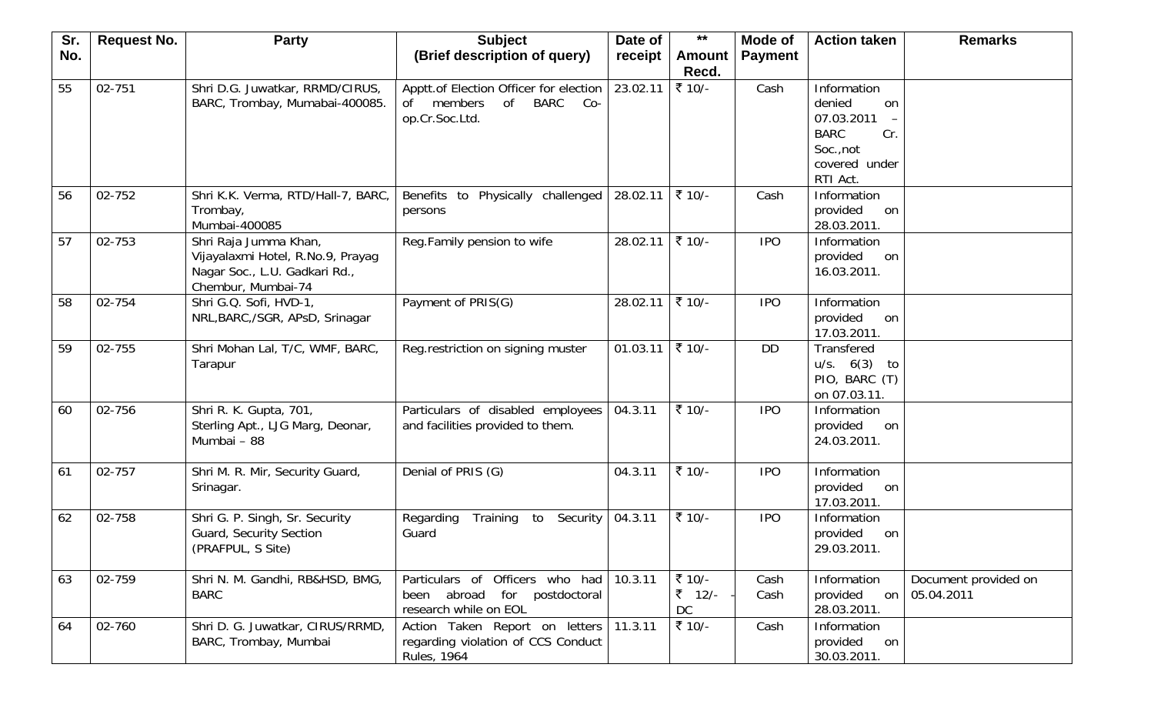| Sr. | <b>Request No.</b> | <b>Party</b>                       | <b>Subject</b>                                   | Date of  | $***$  | Mode of        | <b>Action taken</b>           | <b>Remarks</b>       |
|-----|--------------------|------------------------------------|--------------------------------------------------|----------|--------|----------------|-------------------------------|----------------------|
| No. |                    |                                    | (Brief description of query)                     | receipt  | Amount | <b>Payment</b> |                               |                      |
|     |                    |                                    |                                                  |          | Recd.  |                |                               |                      |
| 55  | 02-751             | Shri D.G. Juwatkar, RRMD/CIRUS,    | Apptt.of Election Officer for election           | 23.02.11 | ₹ 10/- | Cash           | Information                   |                      |
|     |                    | BARC, Trombay, Mumabai-400085.     | members<br><b>of</b><br><b>BARC</b><br>Co-<br>0f |          |        |                | denied<br>on                  |                      |
|     |                    |                                    | op.Cr.Soc.Ltd.                                   |          |        |                | 07.03.2011                    |                      |
|     |                    |                                    |                                                  |          |        |                | <b>BARC</b><br>Cr.            |                      |
|     |                    |                                    |                                                  |          |        |                | Soc., not<br>covered under    |                      |
|     |                    |                                    |                                                  |          |        |                | RTI Act.                      |                      |
| 56  | 02-752             | Shri K.K. Verma, RTD/Hall-7, BARC, | Benefits to Physically challenged                | 28.02.11 | ₹ 10/- | Cash           | Information                   |                      |
|     |                    | Trombay,                           | persons                                          |          |        |                | provided<br>on                |                      |
|     |                    | Mumbai-400085                      |                                                  |          |        |                | 28.03.2011.                   |                      |
| 57  | 02-753             | Shri Raja Jumma Khan,              | Reg.Family pension to wife                       | 28.02.11 | ₹ 10/- | <b>IPO</b>     | Information                   |                      |
|     |                    | Vijayalaxmi Hotel, R.No.9, Prayag  |                                                  |          |        |                | provided<br>on                |                      |
|     |                    | Nagar Soc., L.U. Gadkari Rd.,      |                                                  |          |        |                | 16.03.2011.                   |                      |
|     |                    | Chembur, Mumbai-74                 |                                                  |          |        |                |                               |                      |
| 58  | 02-754             | Shri G.Q. Sofi, HVD-1,             | Payment of PRIS(G)                               | 28.02.11 | ₹ 10/- | <b>IPO</b>     | Information                   |                      |
|     |                    | NRL, BARC, /SGR, APsD, Srinagar    |                                                  |          |        |                | provided<br>on                |                      |
| 59  | 02-755             | Shri Mohan Lal, T/C, WMF, BARC,    | Reg.restriction on signing muster                | 01.03.11 | ₹ 10/- | <b>DD</b>      | 17.03.2011.<br>Transfered     |                      |
|     |                    | Tarapur                            |                                                  |          |        |                | u/s. 6(3)<br>to               |                      |
|     |                    |                                    |                                                  |          |        |                | PIO, BARC (T)                 |                      |
|     |                    |                                    |                                                  |          |        |                | on 07.03.11.                  |                      |
| 60  | 02-756             | Shri R. K. Gupta, 701,             | Particulars of disabled employees                | 04.3.11  | ₹ 10/- | <b>IPO</b>     | Information                   |                      |
|     |                    | Sterling Apt., LJG Marg, Deonar,   | and facilities provided to them.                 |          |        |                | provided<br>on                |                      |
|     |                    | Mumbai - 88                        |                                                  |          |        |                | 24.03.2011.                   |                      |
|     |                    |                                    |                                                  |          |        |                |                               |                      |
| 61  | 02-757             | Shri M. R. Mir, Security Guard,    | Denial of PRIS (G)                               | 04.3.11  | ₹ 10/- | <b>IPO</b>     | Information                   |                      |
|     |                    | Srinagar.                          |                                                  |          |        |                | provided<br>on<br>17.03.2011. |                      |
| 62  | 02-758             | Shri G. P. Singh, Sr. Security     | Regarding<br>Training<br>Security<br>to          | 04.3.11  | ₹ 10/- | <b>IPO</b>     | Information                   |                      |
|     |                    | Guard, Security Section            | Guard                                            |          |        |                | provided<br>on                |                      |
|     |                    | (PRAFPUL, S Site)                  |                                                  |          |        |                | 29.03.2011.                   |                      |
|     |                    |                                    |                                                  |          |        |                |                               |                      |
| 63  | 02-759             | Shri N. M. Gandhi, RB&HSD, BMG,    | Particulars of Officers who had 10.3.11          |          | ₹ 10/- | Cash           | Information                   | Document provided on |
|     |                    | <b>BARC</b>                        | been abroad for postdoctoral                     |          | ₹ 12/- | Cash           | provided                      | on 05.04.2011        |
|     |                    |                                    | research while on EOL                            |          | DC     |                | 28.03.2011.                   |                      |
| 64  | 02-760             | Shri D. G. Juwatkar, CIRUS/RRMD,   | Action Taken Report on letters 11.3.11           |          | ₹ 10/- | Cash           | Information                   |                      |
|     |                    | BARC, Trombay, Mumbai              | regarding violation of CCS Conduct               |          |        |                | provided<br>on                |                      |
|     |                    |                                    | Rules, 1964                                      |          |        |                | 30.03.2011.                   |                      |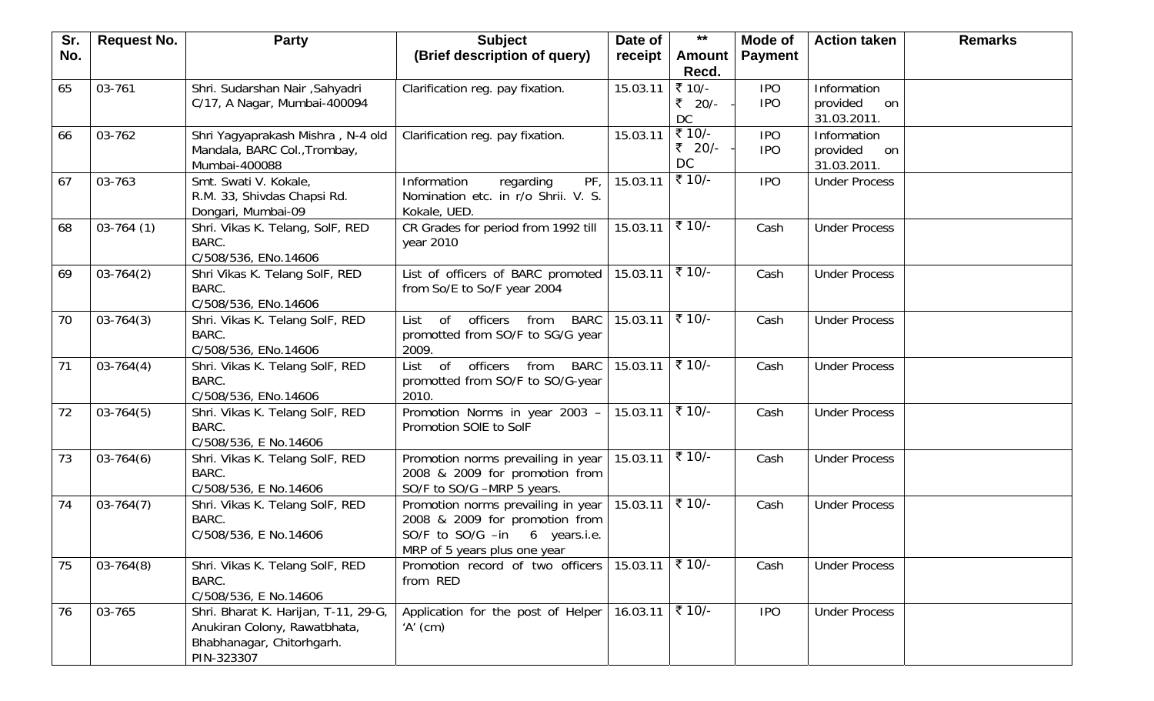| Sr. | <b>Request No.</b> | <b>Party</b>                         | <b>Subject</b>                                             | Date of                                     | $***$              | Mode of        | <b>Action taken</b>  | <b>Remarks</b> |
|-----|--------------------|--------------------------------------|------------------------------------------------------------|---------------------------------------------|--------------------|----------------|----------------------|----------------|
| No. |                    |                                      | (Brief description of query)                               | receipt                                     | <b>Amount</b>      | <b>Payment</b> |                      |                |
|     |                    |                                      |                                                            |                                             | Recd.              |                |                      |                |
| 65  | 03-761             | Shri. Sudarshan Nair , Sahyadri      | Clarification reg. pay fixation.                           | 15.03.11                                    | ₹ 10/-             | <b>IPO</b>     | Information          |                |
|     |                    | C/17, A Nagar, Mumbai-400094         |                                                            |                                             | ₹ 20/-             | <b>IPO</b>     | provided<br>on       |                |
|     |                    |                                      |                                                            |                                             | DC                 |                | 31.03.2011.          |                |
| 66  | 03-762             | Shri Yagyaprakash Mishra, N-4 old    | Clarification reg. pay fixation.                           | 15.03.11                                    | ₹ 10/-             | <b>IPO</b>     | Information          |                |
|     |                    | Mandala, BARC Col., Trombay,         |                                                            |                                             | ₹ 20/-             | <b>IPO</b>     | provided<br>on       |                |
|     |                    | Mumbai-400088                        |                                                            |                                             | DC                 |                | 31.03.2011.          |                |
| 67  | 03-763             | Smt. Swati V. Kokale,                | PF<br>Information<br>regarding                             | 15.03.11                                    | ₹ 10/-             | <b>IPO</b>     | <b>Under Process</b> |                |
|     |                    | R.M. 33, Shivdas Chapsi Rd.          | Nomination etc. in r/o Shrii. V. S.                        |                                             |                    |                |                      |                |
|     |                    | Dongari, Mumbai-09                   | Kokale, UED.                                               |                                             |                    |                |                      |                |
| 68  | $03-764(1)$        | Shri. Vikas K. Telang, SolF, RED     | CR Grades for period from 1992 till                        | 15.03.11                                    | ₹ 10/-             | Cash           | <b>Under Process</b> |                |
|     |                    | BARC.                                | year 2010                                                  |                                             |                    |                |                      |                |
|     |                    | C/508/536, ENo.14606                 |                                                            |                                             |                    |                |                      |                |
| 69  | $03-764(2)$        | Shri Vikas K. Telang SolF, RED       | List of officers of BARC promoted                          | $15.03.11$ ₹ 10/-                           |                    | Cash           | <b>Under Process</b> |                |
|     |                    | BARC.                                | from So/E to So/F year 2004                                |                                             |                    |                |                      |                |
|     |                    | C/508/536, ENo.14606                 |                                                            |                                             |                    |                |                      |                |
| 70  | $03 - 764(3)$      | Shri. Vikas K. Telang SolF, RED      | <b>of</b><br>officers<br>from<br><b>BARC</b><br>List       | 15.03.11                                    | $\frac{1}{5}$ 10/- | Cash           | <b>Under Process</b> |                |
|     |                    | BARC.                                | promotted from SO/F to SG/G year                           |                                             |                    |                |                      |                |
|     |                    | C/508/536, ENo.14606                 | 2009.                                                      |                                             |                    |                |                      |                |
| 71  | $03-764(4)$        | Shri. Vikas K. Telang SolF, RED      | $\overline{of}$<br>officers<br>from<br><b>BARC</b><br>List | 15.03.11                                    | ₹ 10/-             | Cash           | <b>Under Process</b> |                |
|     |                    | BARC.                                | promotted from SO/F to SO/G-year                           |                                             |                    |                |                      |                |
|     |                    | C/508/536, ENo.14606                 | 2010.                                                      |                                             |                    |                |                      |                |
| 72  | $03 - 764(5)$      | Shri. Vikas K. Telang SolF, RED      | Promotion Norms in year 2003 -                             | 15.03.11                                    | ₹ 10/-             | Cash           | <b>Under Process</b> |                |
|     |                    | BARC.                                | Promotion SOIE to SoIF                                     |                                             |                    |                |                      |                |
|     |                    | C/508/536, E No.14606                |                                                            |                                             |                    |                |                      |                |
| 73  | $03 - 764(6)$      | Shri. Vikas K. Telang SolF, RED      | Promotion norms prevailing in year                         | 15.03.11                                    | ₹ 10/-             | Cash           | <b>Under Process</b> |                |
|     |                    | BARC.                                | 2008 & 2009 for promotion from                             |                                             |                    |                |                      |                |
|     |                    | C/508/536, E No.14606                | SO/F to SO/G -MRP 5 years.                                 |                                             |                    |                |                      |                |
| 74  | $03 - 764(7)$      | Shri. Vikas K. Telang SolF, RED      | Promotion norms prevailing in year                         | 15.03.11                                    | ₹ 10/-             | Cash           | <b>Under Process</b> |                |
|     |                    | BARC.                                | 2008 & 2009 for promotion from                             |                                             |                    |                |                      |                |
|     |                    | C/508/536, E No.14606                | SO/F to SO/G -in 6 years.i.e.                              |                                             |                    |                |                      |                |
|     |                    |                                      | MRP of 5 years plus one year                               |                                             |                    |                |                      |                |
| 75  | $03 - 764(8)$      | Shri. Vikas K. Telang SolF, RED      | Promotion record of two officers                           | $15.03.11$ $\bar{\xi}$ $\overline{10/-}$    |                    | Cash           | <b>Under Process</b> |                |
|     |                    | BARC.                                | from RED                                                   |                                             |                    |                |                      |                |
|     |                    | C/508/536, E No.14606                |                                                            |                                             |                    |                |                      |                |
| 76  | 03-765             | Shri. Bharat K. Harijan, T-11, 29-G, | Application for the post of Helper                         | $16.03.11$ $\overline{5}$ $\overline{10/-}$ |                    | <b>IPO</b>     | <b>Under Process</b> |                |
|     |                    | Anukiran Colony, Rawatbhata,         | $'A'$ (cm)                                                 |                                             |                    |                |                      |                |
|     |                    | Bhabhanagar, Chitorhgarh.            |                                                            |                                             |                    |                |                      |                |
|     |                    | PIN-323307                           |                                                            |                                             |                    |                |                      |                |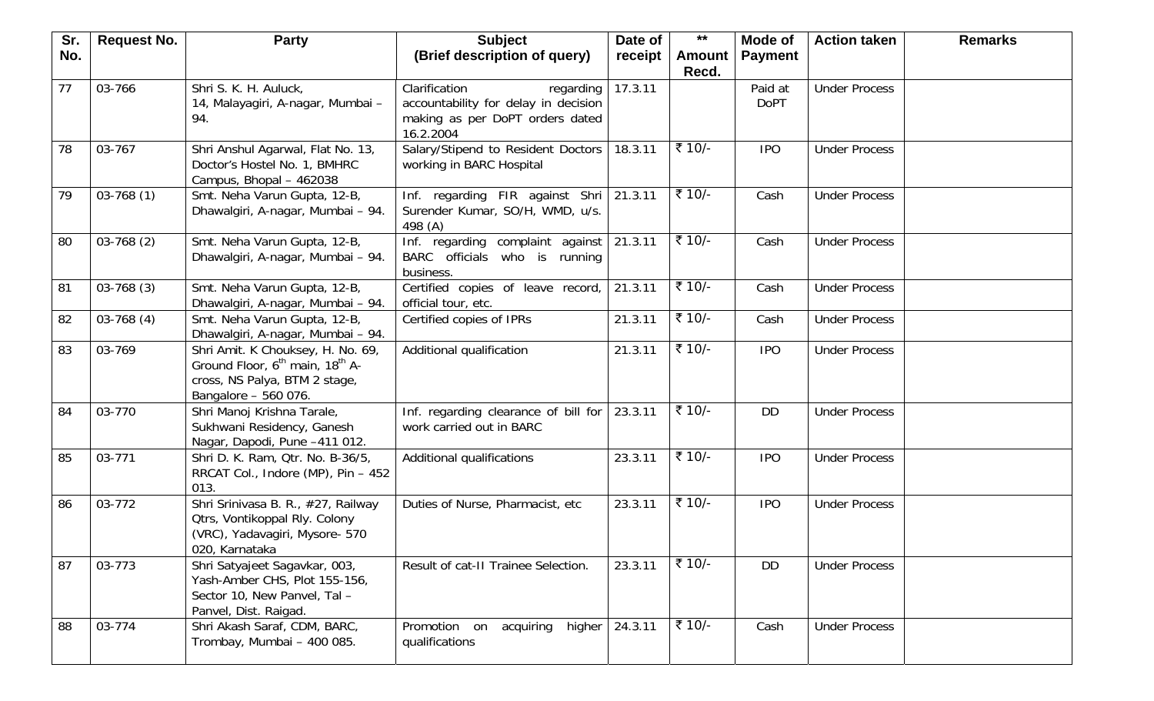| Sr. | <b>Request No.</b> | <b>Party</b>                                                                                                                                          | <b>Subject</b>                                                                                                     | Date of | $***$         | Mode of                | <b>Action taken</b>  | <b>Remarks</b> |
|-----|--------------------|-------------------------------------------------------------------------------------------------------------------------------------------------------|--------------------------------------------------------------------------------------------------------------------|---------|---------------|------------------------|----------------------|----------------|
| No. |                    |                                                                                                                                                       | (Brief description of query)                                                                                       | receipt | <b>Amount</b> | <b>Payment</b>         |                      |                |
|     |                    |                                                                                                                                                       |                                                                                                                    |         | Recd.         |                        |                      |                |
| 77  | 03-766             | Shri S. K. H. Auluck,<br>14, Malayagiri, A-nagar, Mumbai -<br>94.                                                                                     | Clarification<br>regarding<br>accountability for delay in decision<br>making as per DoPT orders dated<br>16.2.2004 | 17.3.11 |               | Paid at<br><b>DoPT</b> | <b>Under Process</b> |                |
| 78  | 03-767             | Shri Anshul Agarwal, Flat No. 13,<br>Doctor's Hostel No. 1, BMHRC<br>Campus, Bhopal - 462038                                                          | Salary/Stipend to Resident Doctors<br>working in BARC Hospital                                                     | 18.3.11 | ₹ 10/-        | <b>IPO</b>             | <b>Under Process</b> |                |
| 79  | $03-768(1)$        | Smt. Neha Varun Gupta, 12-B,<br>Dhawalgiri, A-nagar, Mumbai - 94.                                                                                     | Inf. regarding FIR against Shri 21.3.11<br>Surender Kumar, SO/H, WMD, u/s.<br>498 (A)                              |         | ₹ 10/-        | Cash                   | <b>Under Process</b> |                |
| 80  | $03-768(2)$        | Smt. Neha Varun Gupta, 12-B,<br>Dhawalgiri, A-nagar, Mumbai - 94.                                                                                     | Inf. regarding complaint against   21.3.11<br>BARC officials who is running<br>business.                           |         | ₹ 10/-        | Cash                   | <b>Under Process</b> |                |
| 81  | $03-768(3)$        | Smt. Neha Varun Gupta, 12-B,<br>Dhawalgiri, A-nagar, Mumbai - 94.                                                                                     | Certified copies of leave record,<br>official tour, etc.                                                           | 21.3.11 | ₹ 10/-        | Cash                   | <b>Under Process</b> |                |
| 82  | $03-768(4)$        | Smt. Neha Varun Gupta, 12-B,<br>Dhawalgiri, A-nagar, Mumbai - 94.                                                                                     | Certified copies of IPRs                                                                                           | 21.3.11 | ₹ 10/-        | Cash                   | <b>Under Process</b> |                |
| 83  | 03-769             | Shri Amit. K Chouksey, H. No. 69,<br>Ground Floor, 6 <sup>th</sup> main, 18 <sup>th</sup> A-<br>cross, NS Palya, BTM 2 stage,<br>Bangalore - 560 076. | Additional qualification                                                                                           | 21.3.11 | ₹ 10/-        | <b>IPO</b>             | <b>Under Process</b> |                |
| 84  | 03-770             | Shri Manoj Krishna Tarale,<br>Sukhwani Residency, Ganesh<br>Nagar, Dapodi, Pune -411 012.                                                             | Inf. regarding clearance of bill for<br>work carried out in BARC                                                   | 23.3.11 | ₹ 10/-        | DD                     | <b>Under Process</b> |                |
| 85  | 03-771             | Shri D. K. Ram, Qtr. No. B-36/5,<br>RRCAT Col., Indore (MP), Pin - 452<br>013.                                                                        | Additional qualifications                                                                                          | 23.3.11 | ₹ 10/-        | <b>IPO</b>             | <b>Under Process</b> |                |
| 86  | 03-772             | Shri Srinivasa B. R., #27, Railway<br><b>Qtrs, Vontikoppal Rly. Colony</b><br>(VRC), Yadavagiri, Mysore- 570<br>020, Karnataka                        | Duties of Nurse, Pharmacist, etc.                                                                                  | 23.3.11 | ₹ 10/-        | <b>IPO</b>             | <b>Under Process</b> |                |
| 87  | 03-773             | Shri Satyajeet Sagavkar, 003,<br>Yash-Amber CHS, Plot 155-156,<br>Sector 10, New Panvel, Tal -<br>Panvel, Dist. Raigad.                               | Result of cat-II Trainee Selection.                                                                                | 23.3.11 | ₹ 10/-        | <b>DD</b>              | <b>Under Process</b> |                |
| 88  | 03-774             | Shri Akash Saraf, CDM, BARC,<br>Trombay, Mumbai - 400 085.                                                                                            | acquiring<br>higher<br>Promotion on<br>qualifications                                                              | 24.3.11 | ₹ 10/-        | Cash                   | <b>Under Process</b> |                |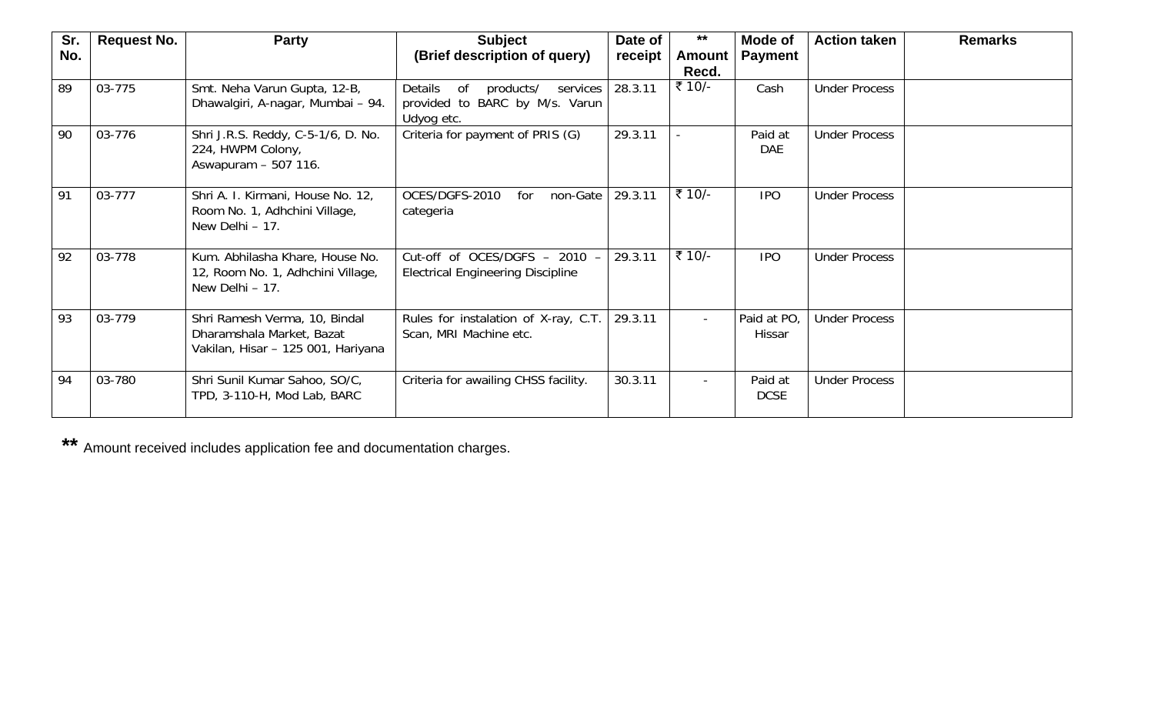| Sr. | <b>Request No.</b> | <b>Party</b>                                                                                     | <b>Subject</b>                                                                         | Date of | $***$                  | Mode of                | <b>Action taken</b>  | <b>Remarks</b> |
|-----|--------------------|--------------------------------------------------------------------------------------------------|----------------------------------------------------------------------------------------|---------|------------------------|------------------------|----------------------|----------------|
| No. |                    |                                                                                                  | (Brief description of query)                                                           | receipt | <b>Amount</b><br>Recd. | <b>Payment</b>         |                      |                |
| 89  | 03-775             | Smt. Neha Varun Gupta, 12-B,<br>Dhawalgiri, A-nagar, Mumbai - 94.                                | of<br>Details<br>products/<br>services<br>provided to BARC by M/s. Varun<br>Udyog etc. | 28.3.11 | ₹ 10/-                 | Cash                   | <b>Under Process</b> |                |
| 90  | 03-776             | Shri J.R.S. Reddy, C-5-1/6, D. No.<br>224, HWPM Colony,<br>Aswapuram - 507 116.                  | Criteria for payment of PRIS (G)                                                       | 29.3.11 |                        | Paid at<br><b>DAE</b>  | <b>Under Process</b> |                |
| 91  | 03-777             | Shri A. I. Kirmani, House No. 12,<br>Room No. 1, Adhchini Village,<br>New Delhi - 17.            | OCES/DGFS-2010<br>non-Gate<br>for<br>categeria                                         | 29.3.11 | ₹ 10/-                 | <b>IPO</b>             | <b>Under Process</b> |                |
| 92  | 03-778             | Kum. Abhilasha Khare, House No.<br>12, Room No. 1, Adhchini Village,<br>New Delhi - 17.          | Cut-off of OCES/DGFS - 2010<br><b>Electrical Engineering Discipline</b>                | 29.3.11 | ₹ 10/-                 | <b>IPO</b>             | <b>Under Process</b> |                |
| 93  | 03-779             | Shri Ramesh Verma, 10, Bindal<br>Dharamshala Market, Bazat<br>Vakilan, Hisar - 125 001, Hariyana | Rules for instalation of X-ray, C.T.<br>Scan, MRI Machine etc.                         | 29.3.11 | $\sim$                 | Paid at PO,<br>Hissar  | <b>Under Process</b> |                |
| 94  | 03-780             | Shri Sunil Kumar Sahoo, SO/C,<br>TPD, 3-110-H, Mod Lab, BARC                                     | Criteria for awailing CHSS facility.                                                   | 30.3.11 |                        | Paid at<br><b>DCSE</b> | <b>Under Process</b> |                |

**\*\*** Amount received includes application fee and documentation charges.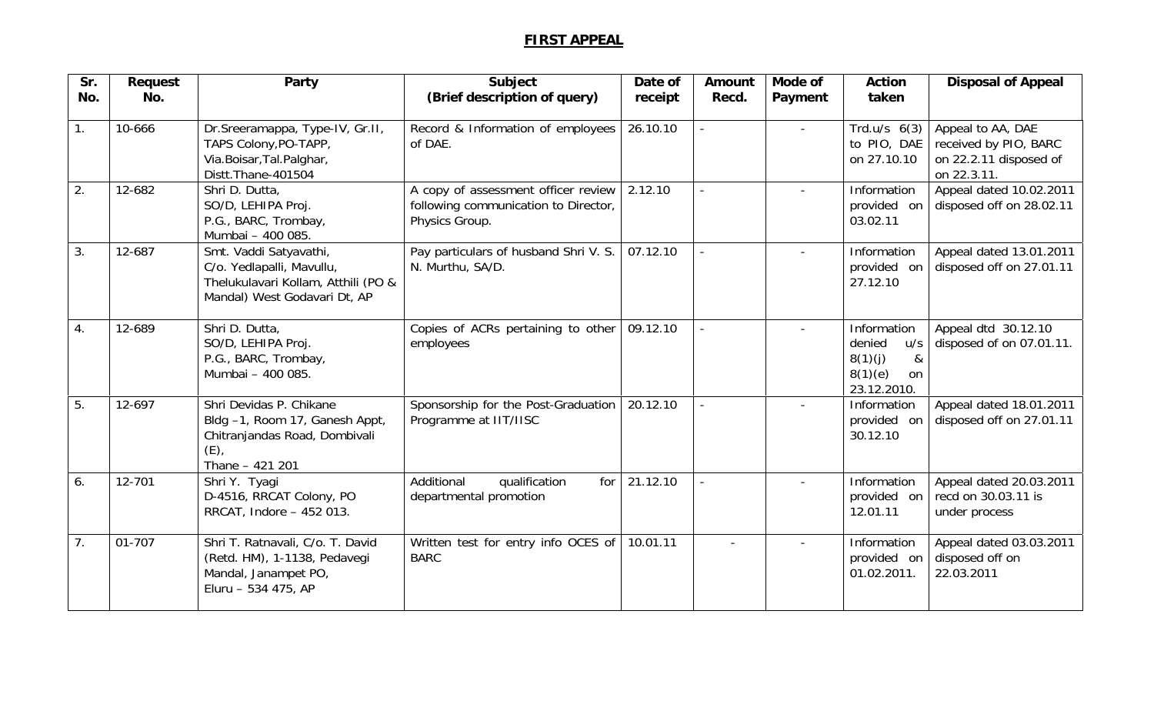## **FIRST APPEAL**

| Sr. | Request | Party                                                                                                                      | Subject                                                                                       | Date of  | Amount | Mode of | <b>Action</b>                                                                | <b>Disposal of Appeal</b>                                                           |
|-----|---------|----------------------------------------------------------------------------------------------------------------------------|-----------------------------------------------------------------------------------------------|----------|--------|---------|------------------------------------------------------------------------------|-------------------------------------------------------------------------------------|
| No. | No.     |                                                                                                                            | (Brief description of query)                                                                  | receipt  | Recd.  | Payment | taken                                                                        |                                                                                     |
| 1.  | 10-666  | Dr.Sreeramappa, Type-IV, Gr.II,<br>TAPS Colony, PO-TAPP,<br>Via.Boisar, Tal.Palghar,<br>Distt.Thane-401504                 | Record & Information of employees<br>of DAE.                                                  | 26.10.10 |        |         | Trd.u/s $6(3)$<br>to PIO, DAE<br>on 27.10.10                                 | Appeal to AA, DAE<br>received by PIO, BARC<br>on 22.2.11 disposed of<br>on 22.3.11. |
| 2.  | 12-682  | Shri D. Dutta,<br>SO/D, LEHIPA Proj.<br>P.G., BARC, Trombay,<br>Mumbai - 400 085.                                          | A copy of assessment officer review<br>following communication to Director,<br>Physics Group. | 2.12.10  |        |         | Information<br>provided on<br>03.02.11                                       | Appeal dated 10.02.2011<br>disposed off on 28.02.11                                 |
| 3.  | 12-687  | Smt. Vaddi Satyavathi,<br>C/o. Yedlapalli, Mavullu,<br>Thelukulavari Kollam, Atthili (PO &<br>Mandal) West Godavari Dt, AP | Pay particulars of husband Shri V. S.<br>N. Murthu, SA/D.                                     | 07.12.10 |        |         | Information<br>provided on<br>27.12.10                                       | Appeal dated 13.01.2011<br>disposed off on 27.01.11                                 |
| 4.  | 12-689  | Shri D. Dutta,<br>SO/D, LEHIPA Proj.<br>P.G., BARC, Trombay,<br>Mumbai - 400 085.                                          | Copies of ACRs pertaining to other<br>employees                                               | 09.12.10 |        |         | Information<br>denied<br>u/s<br>8(1)(j)<br>&<br>8(1)(e)<br>on<br>23.12.2010. | Appeal dtd 30.12.10<br>disposed of on 07.01.11.                                     |
| 5.  | 12-697  | Shri Devidas P. Chikane<br>Bldg -1, Room 17, Ganesh Appt,<br>Chitranjandas Road, Dombivali<br>$(E)$ ,<br>Thane - 421 201   | Sponsorship for the Post-Graduation<br>Programme at IIT/IISC                                  | 20.12.10 |        |         | Information<br>provided on<br>30.12.10                                       | Appeal dated 18.01.2011<br>disposed off on 27.01.11                                 |
| 6.  | 12-701  | Shri Y. Tyagi<br>D-4516, RRCAT Colony, PO<br>RRCAT, Indore - 452 013.                                                      | Additional<br>qualification<br>for<br>departmental promotion                                  | 21.12.10 |        |         | Information<br>provided on<br>12.01.11                                       | Appeal dated 20.03.2011<br>recd on 30.03.11 is<br>under process                     |
| 7.  | 01-707  | Shri T. Ratnavali, C/o. T. David<br>(Retd. HM), 1-1138, Pedavegi<br>Mandal, Janampet PO,<br>Eluru - 534 475, AP            | Written test for entry info OCES of<br><b>BARC</b>                                            | 10.01.11 |        |         | Information<br>provided on<br>01.02.2011.                                    | Appeal dated 03.03.2011<br>disposed off on<br>22.03.2011                            |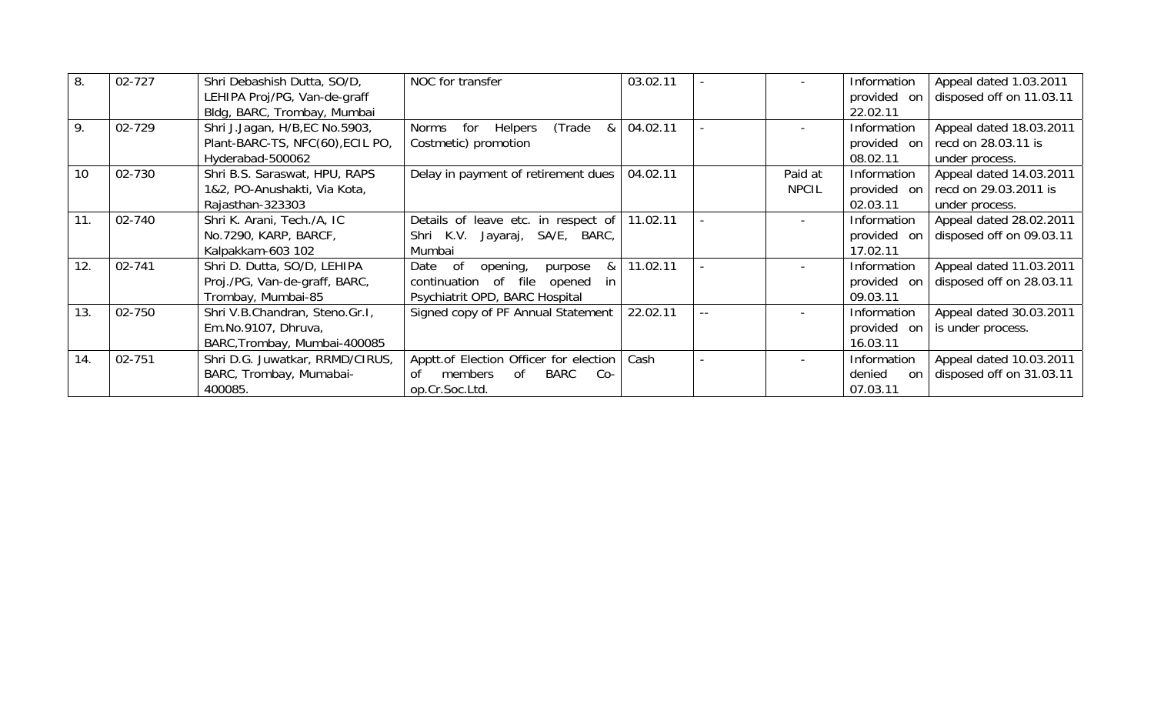| 8.  | 02-727 | Shri Debashish Dutta, SO/D,      | NOC for transfer                                    | 03.02.11 |                | Information      | Appeal dated 1.03.2011   |
|-----|--------|----------------------------------|-----------------------------------------------------|----------|----------------|------------------|--------------------------|
|     |        | LEHIPA Proj/PG, Van-de-graff     |                                                     |          |                | provided<br>- on | disposed off on 11.03.11 |
|     |        | Bldg, BARC, Trombay, Mumbai      |                                                     |          |                | 22.02.11         |                          |
| 9.  | 02-729 | Shri J.Jagan, H/B, EC No.5903,   | (Trade<br>Helpers<br><b>Norms</b><br>for<br>&       | 04.02.11 | $\blacksquare$ | Information      | Appeal dated 18.03.2011  |
|     |        | Plant-BARC-TS, NFC(60), ECIL PO, | Costmetic) promotion                                |          |                | provided on      | recd on 28.03.11 is      |
|     |        | Hyderabad-500062                 |                                                     |          |                | 08.02.11         | under process.           |
| 10  | 02-730 | Shri B.S. Saraswat, HPU, RAPS    | Delay in payment of retirement dues                 | 04.02.11 | Paid at        | Information      | Appeal dated 14.03.2011  |
|     |        | 1&2, PO-Anushakti, Via Kota,     |                                                     |          | <b>NPCIL</b>   | provided<br>- on | recd on 29.03.2011 is    |
|     |        | Rajasthan-323303                 |                                                     |          |                | 02.03.11         | under process.           |
| 11. | 02-740 | Shri K. Arani, Tech./A, IC       | Details of leave etc. in respect of 11.02.11        |          |                | Information      | Appeal dated 28.02.2011  |
|     |        | No.7290, KARP, BARCF,            | Shri K.V. Jayaraj, SA/E, BARC,                      |          |                | provided on      | disposed off on 09.03.11 |
|     |        | Kalpakkam-603 102                | Mumbai                                              |          |                | 17.02.11         |                          |
| 12. | 02-741 | Shri D. Dutta, SO/D, LEHIPA      | Date<br>of<br>opening,<br>8 <sub>1</sub><br>purpose | 11.02.11 |                | Information      | Appeal dated 11.03.2011  |
|     |        | Proj./PG, Van-de-graff, BARC,    | continuation of file<br>opened<br>in.               |          |                | provided on      | disposed off on 28.03.11 |
|     |        | Trombay, Mumbai-85               | Psychiatrit OPD, BARC Hospital                      |          |                | 09.03.11         |                          |
| 13. | 02-750 | Shri V.B.Chandran, Steno.Gr.I,   | Signed copy of PF Annual Statement                  | 22.02.11 |                | Information      | Appeal dated 30.03.2011  |
|     |        | Em.No.9107, Dhruva,              |                                                     |          |                | provided<br>-on  | is under process.        |
|     |        | BARC, Trombay, Mumbai-400085     |                                                     |          |                | 16.03.11         |                          |
| 14. | 02-751 | Shri D.G. Juwatkar, RRMD/CIRUS,  | Apptt.of Election Officer for election              | Cash     |                | Information      | Appeal dated 10.03.2011  |
|     |        | BARC, Trombay, Mumabai-          | BARC<br>members<br>$Co-$<br>0f<br>Ωf                |          |                | denied<br>on     | disposed off on 31.03.11 |
|     |        | 400085.                          | op.Cr.Soc.Ltd.                                      |          |                | 07.03.11         |                          |